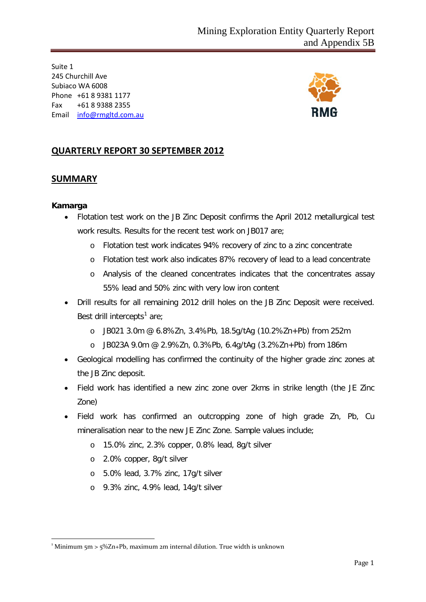Suite 1 245 Churchill Ave Subiaco WA 6008 Phone +61 8 9381 1177 Fax +61 8 9388 2355 Email [info@rmgltd.com.au](mailto:info@rmgltd.com.au)



## **QUARTERLY REPORT 30 SEPTEMBER 2012**

### **SUMMARY**

### **Kamarga**

- Flotation test work on the JB Zinc Deposit confirms the April 2012 metallurgical test work results. Results for the recent test work on JB017 are;
	- o Flotation test work indicates 94% recovery of zinc to a zinc concentrate
	- o Flotation test work also indicates 87% recovery of lead to a lead concentrate
	- o Analysis of the cleaned concentrates indicates that the concentrates assay 55% lead and 50% zinc with very low iron content
- Drill results for all remaining 2012 drill holes on the JB Zinc Deposit were received. Best drill intercepts<sup>[1](#page-0-0)</sup> are;
	- o JB021 3.0m @ 6.8%Zn, 3.4%Pb, 18.5g/tAg (10.2%Zn+Pb) from 252m
	- o JB023A 9.0m @ 2.9%Zn, 0.3%Pb, 6.4g/tAg (3.2%Zn+Pb) from 186m
- Geological modelling has confirmed the continuity of the higher grade zinc zones at the JB Zinc deposit.
- Field work has identified a new zinc zone over 2kms in strike length (the JE Zinc Zone)
- Field work has confirmed an outcropping zone of high grade Zn, Pb, Cu mineralisation near to the new JE Zinc Zone. Sample values include;
	- o 15.0% zinc, 2.3% copper, 0.8% lead, 8g/t silver
	- o 2.0% copper, 8g/t silver
	- o 5.0% lead, 3.7% zinc, 17g/t silver
	- o 9.3% zinc, 4.9% lead, 14g/t silver

<span id="page-0-0"></span> $\frac{1}{1}$ <sup>1</sup> Minimum 5m > 5%Zn+Pb, maximum 2m internal dilution. True width is unknown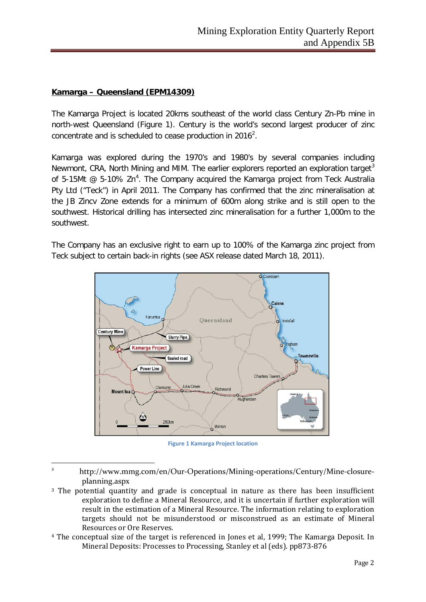### **Kamarga – Queensland (EPM14309)**

 $\overline{a}$ 

The Kamarga Project is located 20kms southeast of the world class Century Zn-Pb mine in north-west Queensland (Figure 1). Century is the world's second largest producer of zinc concentrate and is scheduled to cease production in [2](#page-1-0)016<sup>2</sup>.

Kamarga was explored during the 1970's and 1980's by several companies including Newmont, CRA, North Mining and MIM. The earlier explorers reported an exploration target<sup>[3](#page-1-1)</sup> of 5-15Mt  $\omega$  5-10% Zn<sup>[4](#page-1-2)</sup>. The Company acquired the Kamarga project from Teck Australia Pty Ltd ("Teck") in April 2011. The Company has confirmed that the zinc mineralisation at the JB Zincv Zone extends for a minimum of 600m along strike and is still open to the southwest. Historical drilling has intersected zinc mineralisation for a further 1,000m to the southwest.

The Company has an exclusive right to earn up to 100% of the Kamarga zinc project from Teck subject to certain back-in rights (see ASX release dated March 18, 2011).



**Figure 1 Kamarga Project location**

<span id="page-1-2"></span><sup>4</sup> The conceptual size of the target is referenced in Jones et al, 1999; The Kamarga Deposit. In Mineral Deposits: Processes to Processing, Stanley et al (eds). pp873-876

<span id="page-1-0"></span><sup>&</sup>lt;sup>2</sup> http://www.mmg.com/en/Our-Operations/Mining-operations/Century/Mine-closureplanning.aspx

<span id="page-1-1"></span><sup>&</sup>lt;sup>3</sup> The potential quantity and grade is conceptual in nature as there has been insufficient exploration to define a Mineral Resource, and it is uncertain if further exploration will result in the estimation of a Mineral Resource. The information relating to exploration targets should not be misunderstood or misconstrued as an estimate of Mineral Resources or Ore Reserves.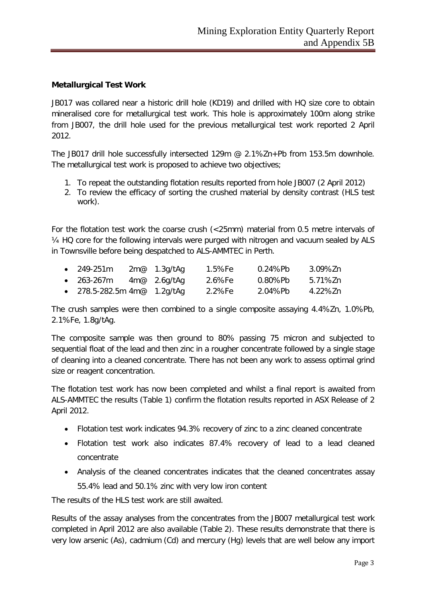### **Metallurgical Test Work**

JB017 was collared near a historic drill hole (KD19) and drilled with HQ size core to obtain mineralised core for metallurgical test work. This hole is approximately 100m along strike from JB007, the drill hole used for the previous metallurgical test work reported 2 April 2012.

The JB017 drill hole successfully intersected 129m @ 2.1%Zn+Pb from 153.5m downhole. The metallurgical test work is proposed to achieve two objectives;

- 1. To repeat the outstanding flotation results reported from hole JB007 (2 April 2012)
- 2. To review the efficacy of sorting the crushed material by density contrast (HLS test work).

For the flotation test work the coarse crush (<25mm) material from 0.5 metre intervals of ¼ HQ core for the following intervals were purged with nitrogen and vacuum sealed by ALS in Townsville before being despatched to ALS-AMMTEC in Perth.

| $\bullet$ 249-251 m                          | $2m@$ 1.3g/tAg | 1.5%Fe | 0.24%Pb | 3.09%Zn |
|----------------------------------------------|----------------|--------|---------|---------|
| $\bullet$ 263-267m                           | $4m@$ 2.6g/tAg | 2.6%Fe | 0.80%Pb | 5.71%7n |
| • 278.5-282.5m 4m $\textcircled{a}$ 1.2g/tAg |                | 2.2%Fe | 2.04%Pb | 4.22%7n |

The crush samples were then combined to a single composite assaying 4.4%Zn, 1.0%Pb, 2.1%Fe, 1.8g/tAg.

The composite sample was then ground to 80% passing 75 micron and subjected to sequential float of the lead and then zinc in a rougher concentrate followed by a single stage of cleaning into a cleaned concentrate. There has not been any work to assess optimal grind size or reagent concentration.

The flotation test work has now been completed and whilst a final report is awaited from ALS-AMMTEC the results (Table 1) confirm the flotation results reported in ASX Release of 2 April 2012.

- Flotation test work indicates 94.3% recovery of zinc to a zinc cleaned concentrate
- Flotation test work also indicates 87.4% recovery of lead to a lead cleaned concentrate
- Analysis of the cleaned concentrates indicates that the cleaned concentrates assay 55.4% lead and 50.1% zinc with very low iron content

The results of the HLS test work are still awaited.

Results of the assay analyses from the concentrates from the JB007 metallurgical test work completed in April 2012 are also available (Table 2). These results demonstrate that there is very low arsenic (As), cadmium (Cd) and mercury (Hg) levels that are well below any import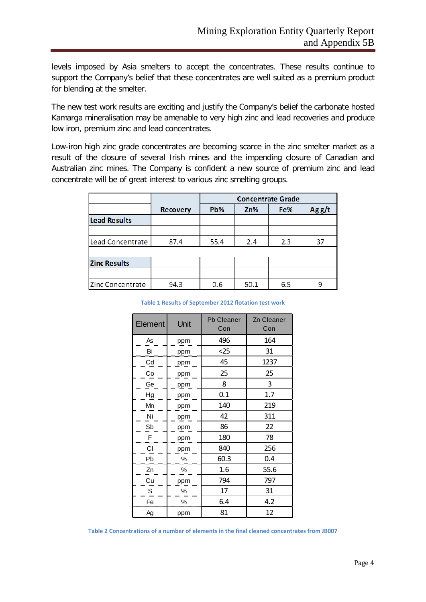levels imposed by Asia smelters to accept the concentrates. These results continue to support the Company's belief that these concentrates are well suited as a premium product for blending at the smelter.

The new test work results are exciting and justify the Company's belief the carbonate hosted Kamarga mineralisation may be amenable to very high zinc and lead recoveries and produce low iron, premium zinc and lead concentrates.

Low-iron high zinc grade concentrates are becoming scarce in the zinc smelter market as a result of the closure of several Irish mines and the impending closure of Canadian and Australian zinc mines. The Company is confident a new source of premium zinc and lead concentrate will be of great interest to various zinc smelting groups.

|                     |                 | <b>Concentrate Grade</b> |      |     |       |
|---------------------|-----------------|--------------------------|------|-----|-------|
|                     | <b>Recovery</b> | Pb%                      | Zn%  | Fe% | Agg/t |
| <b>Lead Results</b> |                 |                          |      |     |       |
|                     |                 |                          |      |     |       |
| Lead Concentrate    | 87.4            | 55.4                     | 2.4  | 2.3 | 37    |
|                     |                 |                          |      |     |       |
| <b>Zinc Results</b> |                 |                          |      |     |       |
|                     |                 |                          |      |     |       |
| Zinc Concentrate    | 94.3            | 0.6                      | 50.1 | 6.5 |       |

**Table 1 Results of September 2012 flotation test work**

| Element                | Unit | <b>Pb Cleaner</b><br>Con | Zn Cleaner<br>Con |
|------------------------|------|--------------------------|-------------------|
| As                     | ppm  | 496                      | 164               |
| Bi                     | ppm  | $25$                     | 31                |
| Cd                     | ppm  | 45                       | 1237              |
| Co                     | ppm  | 25                       | 25                |
| Ge                     | ppm  | 8                        | 3                 |
| Hg                     | ppm  | 0.1                      | 1.7               |
| Mn                     | ppm  | 140                      | 219               |
| Ni                     | ppm  | 42                       | 311               |
| Sb                     | ppm  | 86                       | 22                |
| F                      | ppm  | 180                      | 78                |
| $\mathsf{C}\mathsf{I}$ | ppm  | 840                      | 256               |
| Pb                     | %    | 60.3                     | 0.4               |
| Zn                     | $\%$ | 1.6                      | 55.6              |
| Cu                     | ppm  | 794                      | 797               |
| S                      | %    | 17                       | 31                |
| Fe                     | %    | 6.4                      | 4.2               |
| Ag                     | ppm  | 81                       | 12                |

**Table 2 Concentrations of a number of elements in the final cleaned concentrates from JB007**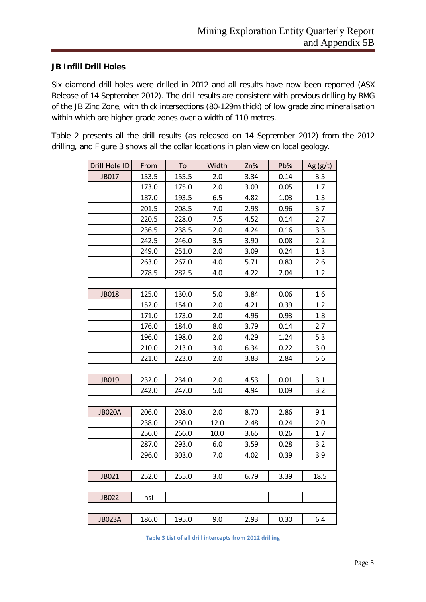### **JB Infill Drill Holes**

Six diamond drill holes were drilled in 2012 and all results have now been reported (ASX Release of 14 September 2012). The drill results are consistent with previous drilling by RMG of the JB Zinc Zone, with thick intersections (80-129m thick) of low grade zinc mineralisation within which are higher grade zones over a width of 110 metres.

Table 2 presents all the drill results (as released on 14 September 2012) from the 2012 drilling, and Figure 3 shows all the collar locations in plan view on local geology.

| Drill Hole ID | From  | To    | Width | Zn%  | Pb%  | Ag(g/t) |
|---------------|-------|-------|-------|------|------|---------|
| JB017         | 153.5 | 155.5 | 2.0   | 3.34 | 0.14 | 3.5     |
|               | 173.0 | 175.0 | 2.0   | 3.09 | 0.05 | 1.7     |
|               | 187.0 | 193.5 | 6.5   | 4.82 | 1.03 | 1.3     |
|               | 201.5 | 208.5 | 7.0   | 2.98 | 0.96 | 3.7     |
|               | 220.5 | 228.0 | 7.5   | 4.52 | 0.14 | 2.7     |
|               | 236.5 | 238.5 | 2.0   | 4.24 | 0.16 | 3.3     |
|               | 242.5 | 246.0 | 3.5   | 3.90 | 0.08 | 2.2     |
|               | 249.0 | 251.0 | 2.0   | 3.09 | 0.24 | 1.3     |
|               | 263.0 | 267.0 | 4.0   | 5.71 | 0.80 | 2.6     |
|               | 278.5 | 282.5 | 4.0   | 4.22 | 2.04 | 1.2     |
|               |       |       |       |      |      |         |
| <b>JB018</b>  | 125.0 | 130.0 | 5.0   | 3.84 | 0.06 | 1.6     |
|               | 152.0 | 154.0 | 2.0   | 4.21 | 0.39 | 1.2     |
|               | 171.0 | 173.0 | 2.0   | 4.96 | 0.93 | 1.8     |
|               | 176.0 | 184.0 | 8.0   | 3.79 | 0.14 | 2.7     |
|               | 196.0 | 198.0 | 2.0   | 4.29 | 1.24 | 5.3     |
|               | 210.0 | 213.0 | 3.0   | 6.34 | 0.22 | 3.0     |
|               | 221.0 | 223.0 | 2.0   | 3.83 | 2.84 | 5.6     |
|               |       |       |       |      |      |         |
| JB019         | 232.0 | 234.0 | 2.0   | 4.53 | 0.01 | 3.1     |
|               | 242.0 | 247.0 | 5.0   | 4.94 | 0.09 | 3.2     |
|               |       |       |       |      |      |         |
| <b>JB020A</b> | 206.0 | 208.0 | 2.0   | 8.70 | 2.86 | 9.1     |
|               | 238.0 | 250.0 | 12.0  | 2.48 | 0.24 | 2.0     |
|               | 256.0 | 266.0 | 10.0  | 3.65 | 0.26 | 1.7     |
|               | 287.0 | 293.0 | 6.0   | 3.59 | 0.28 | 3.2     |
|               | 296.0 | 303.0 | 7.0   | 4.02 | 0.39 | 3.9     |
|               |       |       |       |      |      |         |
| JB021         | 252.0 | 255.0 | 3.0   | 6.79 | 3.39 | 18.5    |
|               |       |       |       |      |      |         |
| <b>JB022</b>  | nsi   |       |       |      |      |         |
|               |       |       |       |      |      |         |
| <b>JB023A</b> | 186.0 | 195.0 | 9.0   | 2.93 | 0.30 | 6.4     |

**Table 3 List of all drill intercepts from 2012 drilling**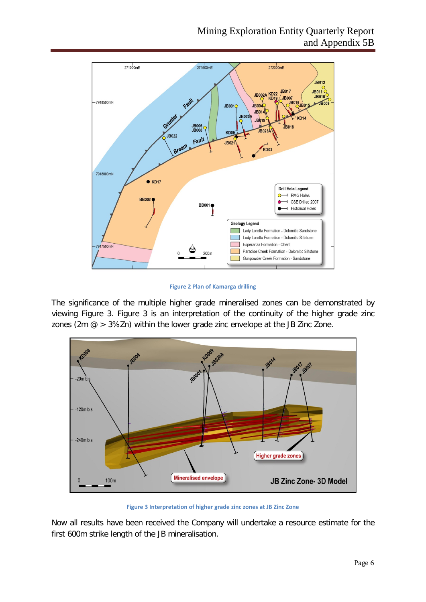

**Figure 2 Plan of Kamarga drilling**

The significance of the multiple higher grade mineralised zones can be demonstrated by viewing Figure 3. Figure 3 is an interpretation of the continuity of the higher grade zinc zones (2m  $\omega > 3\%$ Zn) within the lower grade zinc envelope at the JB Zinc Zone.



**Figure 3 Interpretation of higher grade zinc zones at JB Zinc Zone**

Now all results have been received the Company will undertake a resource estimate for the first 600m strike length of the JB mineralisation.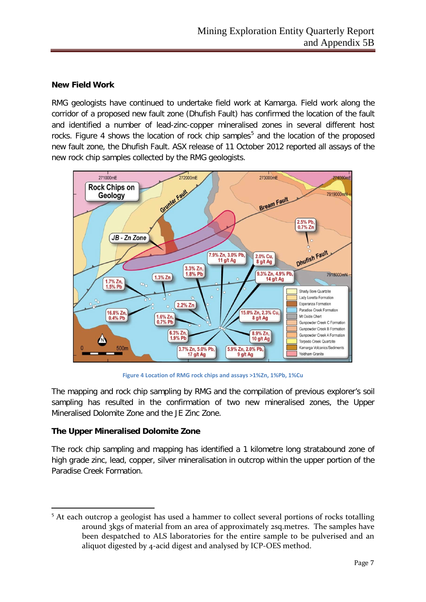### **New Field Work**

RMG geologists have continued to undertake field work at Kamarga. Field work along the corridor of a proposed new fault zone (Dhufish Fault) has confirmed the location of the fault and identified a number of lead-zinc-copper mineralised zones in several different host rocks. Figure 4 shows the location of rock chip samples<sup>[5](#page-6-0)</sup> and the location of the proposed new fault zone, the Dhufish Fault. ASX release of 11 October 2012 reported all assays of the new rock chip samples collected by the RMG geologists.



**Figure 4 Location of RMG rock chips and assays >1%Zn, 1%Pb, 1%Cu**

The mapping and rock chip sampling by RMG and the compilation of previous explorer's soil sampling has resulted in the confirmation of two new mineralised zones, the Upper Mineralised Dolomite Zone and the JE Zinc Zone.

### **The Upper Mineralised Dolomite Zone**

The rock chip sampling and mapping has identified a 1 kilometre long stratabound zone of high grade zinc, lead, copper, silver mineralisation in outcrop within the upper portion of the Paradise Creek Formation.

<span id="page-6-0"></span> $\overline{a}$ <sup>5</sup> At each outcrop a geologist has used a hammer to collect several portions of rocks totalling around 3kgs of material from an area of approximately 2sq.metres. The samples have been despatched to ALS laboratories for the entire sample to be pulverised and an aliquot digested by 4-acid digest and analysed by ICP-OES method.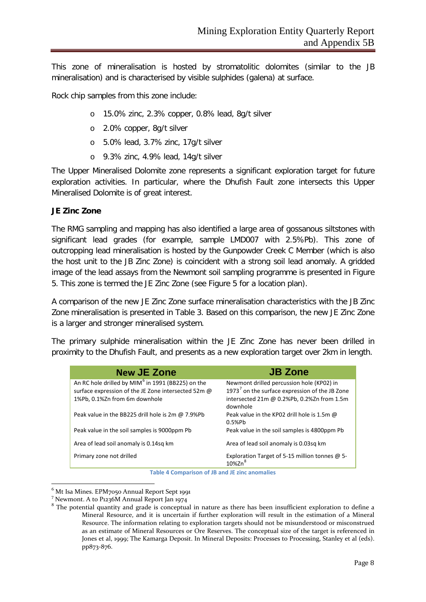This zone of mineralisation is hosted by stromatolitic dolomites (similar to the JB mineralisation) and is characterised by visible sulphides (galena) at surface.

Rock chip samples from this zone include:

- o 15.0% zinc, 2.3% copper, 0.8% lead, 8g/t silver
- o 2.0% copper, 8g/t silver
- o 5.0% lead, 3.7% zinc, 17g/t silver
- o 9.3% zinc, 4.9% lead, 14g/t silver

The Upper Mineralised Dolomite zone represents a significant exploration target for future exploration activities. In particular, where the Dhufish Fault zone intersects this Upper Mineralised Dolomite is of great interest.

### **JE Zinc Zone**

The RMG sampling and mapping has also identified a large area of gossanous siltstones with significant lead grades (for example, sample LMD007 with 2.5%Pb). This zone of outcropping lead mineralisation is hosted by the Gunpowder Creek C Member (which is also the host unit to the JB Zinc Zone) is coincident with a strong soil lead anomaly. A gridded image of the lead assays from the Newmont soil sampling programme is presented in Figure 5. This zone is termed the JE Zinc Zone (see Figure 5 for a location plan).

A comparison of the new JE Zinc Zone surface mineralisation characteristics with the JB Zinc Zone mineralisation is presented in Table 3. Based on this comparison, the new JE Zinc Zone is a larger and stronger mineralised system.

The primary sulphide mineralisation within the JE Zinc Zone has never been drilled in proximity to the Dhufish Fault, and presents as a new exploration target over 2km in length.

| <b>New JE Zone</b>                                            | <b>JB Zone</b>                                                   |
|---------------------------------------------------------------|------------------------------------------------------------------|
| An RC hole drilled by MIM <sup>6</sup> in 1991 (BB225) on the | Newmont drilled percussion hole (KP02) in                        |
| surface expression of the JE Zone intersected 52m @           | 1973 <sup>7</sup> on the surface expression of the JB Zone       |
| 1%Pb, 0.1%Zn from 6m downhole                                 | intersected 21m @ 0.2%Pb, 0.2%Zn from 1.5m<br>downhole           |
| Peak value in the BB225 drill hole is 2m @ 7.9%Pb             | Peak value in the KP02 drill hole is 1.5m @<br>0.5%Pb            |
| Peak value in the soil samples is 9000ppm Pb                  | Peak value in the soil samples is 4800ppm Pb                     |
| Area of lead soil anomaly is 0.14sq km                        | Area of lead soil anomaly is 0.03sq km                           |
| Primary zone not drilled                                      | Exploration Target of 5-15 million tonnes @ 5-<br>$10\%$ Zn $^8$ |

**Table 4 Comparison of JB and JE zinc anomalies**

<span id="page-7-0"></span> $^6$  Mt Isa Mines. EPM7050 Annual Report Sept 1991<br><sup>7</sup> Newmont. A to P1236M Annual Report Jan 1974

<span id="page-7-2"></span><span id="page-7-1"></span> $8$  The potential quantity and grade is conceptual in nature as there has been insufficient exploration to define a Mineral Resource, and it is uncertain if further exploration will result in the estimation of a Mineral Resource. The information relating to exploration targets should not be misunderstood or misconstrued as an estimate of Mineral Resources or Ore Reserves. The conceptual size of the target is referenced in Jones et al, 1999; The Kamarga Deposit. In Mineral Deposits: Processes to Processing, Stanley et al (eds). pp873-876.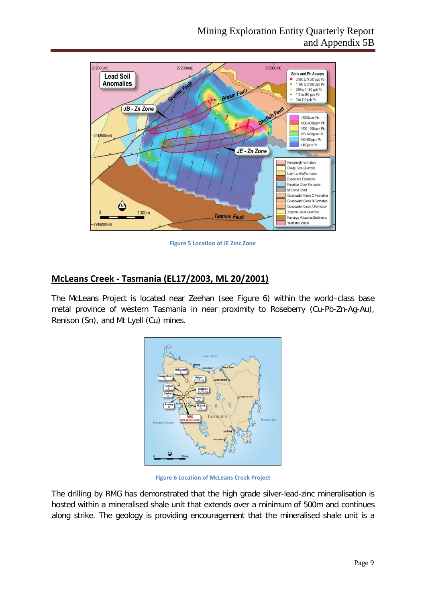

**Figure 5 Location of JE Zinc Zone**

## **McLeans Creek - Tasmania (EL17/2003, ML 20/2001)**

The McLeans Project is located near Zeehan (see Figure 6) within the world–class base metal province of western Tasmania in near proximity to Roseberry (Cu-Pb-Zn-Ag-Au), Renison (Sn), and Mt Lyell (Cu) mines.



**Figure 6 Location of McLeans Creek Project**

The drilling by RMG has demonstrated that the high grade silver-lead-zinc mineralisation is hosted within a mineralised shale unit that extends over a minimum of 500m and continues along strike. The geology is providing encouragement that the mineralised shale unit is a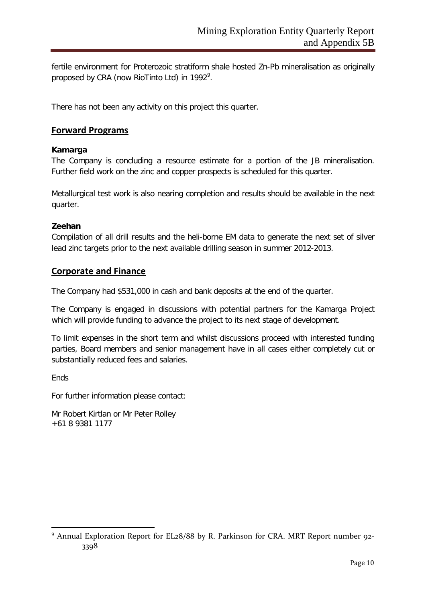fertile environment for Proterozoic stratiform shale hosted Zn-Pb mineralisation as originally proposed by CRA (now RioTinto Ltd) in 1[9](#page-9-0)92 $^{\circ}$ .

There has not been any activity on this project this quarter.

### **Forward Programs**

### **Kamarga**

The Company is concluding a resource estimate for a portion of the JB mineralisation. Further field work on the zinc and copper prospects is scheduled for this quarter.

Metallurgical test work is also nearing completion and results should be available in the next quarter.

### **Zeehan**

Compilation of all drill results and the heli-borne EM data to generate the next set of silver lead zinc targets prior to the next available drilling season in summer 2012-2013.

### **Corporate and Finance**

The Company had \$531,000 in cash and bank deposits at the end of the quarter.

The Company is engaged in discussions with potential partners for the Kamarga Project which will provide funding to advance the project to its next stage of development.

To limit expenses in the short term and whilst discussions proceed with interested funding parties, Board members and senior management have in all cases either completely cut or substantially reduced fees and salaries.

**Fnds** 

1

For further information please contact:

Mr Robert Kirtlan or Mr Peter Rolley +61 8 9381 1177

<span id="page-9-0"></span><sup>&</sup>lt;sup>9</sup> Annual Exploration Report for EL28/88 by R. Parkinson for CRA. MRT Report number 92-3398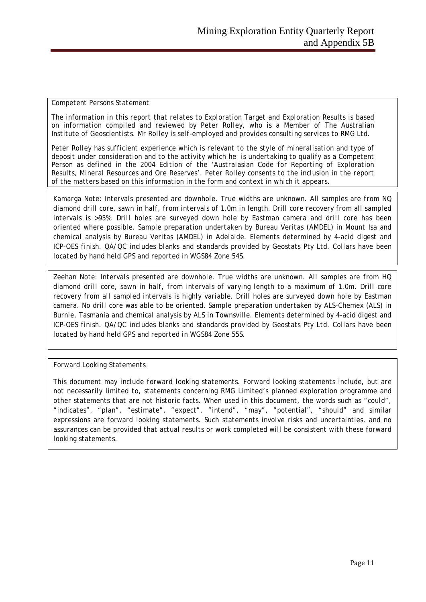#### *Competent Persons Statement*

*The information in this report that relates to Exploration Target and Exploration Results is based on information compiled and reviewed by Peter Rolley, who is a Member of The Australian Institute of Geoscientists. Mr Rolley is self-employed and provides consulting services to RMG Ltd.*

*Peter Rolley has sufficient experience which is relevant to the style of mineralisation and type of deposit under consideration and to the activity which he is undertaking to qualify as a Competent Person as defined in the 2004 Edition of the 'Australasian Code for Reporting of Exploration Results, Mineral Resources and Ore Reserves'. Peter Rolley consents to the inclusion in the report of the matters based on this information in the form and context in which it appears.*

*Kamarga Note: Intervals presented are downhole. True widths are unknown. All samples are from NQ diamond drill core, sawn in half, from intervals of 1.0m in length. Drill core recovery from all sampled intervals is >95%. Drill holes are surveyed down hole by Eastman camera and drill core has been oriented where possible. Sample preparation undertaken by Bureau Veritas (AMDEL) in Mount Isa and chemical analysis by Bureau Veritas (AMDEL) in Adelaide. Elements determined by 4-acid digest and ICP-OES finish. QA/QC includes blanks and standards provided by Geostats Pty Ltd. Collars have been located by hand held GPS and reported in WGS84 Zone 54S.*

*Zeehan Note: Intervals presented are downhole. True widths are unknown. All samples are from HQ diamond drill core, sawn in half, from intervals of varying length to a maximum of 1.0m. Drill core recovery from all sampled intervals is highly variable. Drill holes are surveyed down hole by Eastman camera. No drill core was able to be oriented. Sample preparation undertaken by ALS-Chemex (ALS) in Burnie, Tasmania and chemical analysis by ALS in Townsville. Elements determined by 4-acid digest and ICP-OES finish. QA/QC includes blanks and standards provided by Geostats Pty Ltd. Collars have been located by hand held GPS and reported in WGS84 Zone 55S.*

### *Forward Looking Statements*

*This document may include forward looking statements. Forward looking statements include, but are not necessarily limited to, statements concerning RMG Limited's planned exploration programme and other statements that are not historic facts. When used in this document, the words such as "could", "indicates", "plan", "estimate", "expect", "intend", "may", "potential", "should" and similar expressions are forward looking statements. Such statements involve risks and uncertainties, and no assurances can be provided that actual results or work completed will be consistent with these forward looking statements.*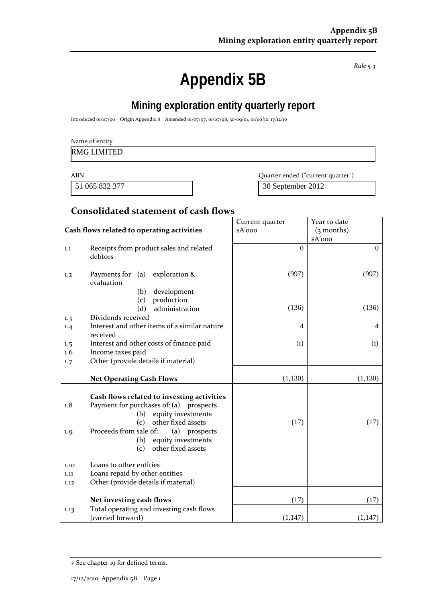*Rule 5.3*

# **Appendix 5B**

# **Mining exploration entity quarterly report**

Introduced 01/07/96 Origin Appendix 8 Amended 01/07/97, 01/07/98, 30/09/01, 01/06/10, 17/12/10

### Name of entity

### RMG LIMITED

51 065 832 377 30 September 2012

ABN Quarter ended ("current quarter")

## **Consolidated statement of cash flows**

|            |                                                                                                                                                                                                                                                      | Current quarter   | Year to date      |
|------------|------------------------------------------------------------------------------------------------------------------------------------------------------------------------------------------------------------------------------------------------------|-------------------|-------------------|
|            | Cash flows related to operating activities                                                                                                                                                                                                           | $A'$ ooo          | $(3$ months)      |
|            |                                                                                                                                                                                                                                                      |                   | $A'$ 000          |
| 1.1        | Receipts from product sales and related<br>debtors                                                                                                                                                                                                   | $\Omega$          | $\overline{0}$    |
| 1,2        | Payments for $(a)$ exploration &<br>evaluation                                                                                                                                                                                                       | (997)             | (997)             |
|            | development<br>(b)                                                                                                                                                                                                                                   |                   |                   |
|            | production<br>(c)                                                                                                                                                                                                                                    |                   |                   |
|            | (d)<br>administration                                                                                                                                                                                                                                | (136)             | (136)             |
| 1.3        | Dividends received                                                                                                                                                                                                                                   |                   |                   |
| 1.4        | Interest and other items of a similar nature<br>received                                                                                                                                                                                             | 4                 | $\overline{4}$    |
| 1.5        | Interest and other costs of finance paid                                                                                                                                                                                                             | $\left( 1\right)$ | $\left( 1\right)$ |
| 1.6        | Income taxes paid                                                                                                                                                                                                                                    |                   |                   |
| 1.7        | Other (provide details if material)                                                                                                                                                                                                                  |                   |                   |
|            |                                                                                                                                                                                                                                                      |                   |                   |
|            | <b>Net Operating Cash Flows</b>                                                                                                                                                                                                                      | (1, 130)          | (1,130)           |
| 1.8<br>1.9 | Cash flows related to investing activities<br>Payment for purchases of: (a) prospects<br>equity investments<br>(b)<br>other fixed assets<br>(c)<br>Proceeds from sale of:<br>(a) prospects<br>equity investments<br>(b)<br>other fixed assets<br>(c) | (17)              | (17)              |
| 1.10       | Loans to other entities                                                                                                                                                                                                                              |                   |                   |
| 1.11       | Loans repaid by other entities                                                                                                                                                                                                                       |                   |                   |
| 1.12       | Other (provide details if material)                                                                                                                                                                                                                  |                   |                   |
|            | Net investing cash flows                                                                                                                                                                                                                             | (17)              | (17)              |
| 1.13       | Total operating and investing cash flows<br>(carried forward)                                                                                                                                                                                        | (1, 147)          | (1, 147)          |

<sup>+</sup> See chapter 19 for defined terms.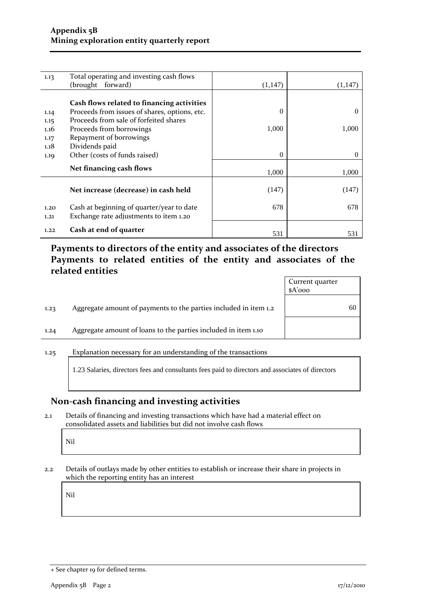| 1.13 | Total operating and investing cash flows      |          |          |
|------|-----------------------------------------------|----------|----------|
|      | (brought forward)                             | (1,147)  | (1,147)  |
|      |                                               |          |          |
|      | Cash flows related to financing activities    |          |          |
| 1.14 | Proceeds from issues of shares, options, etc. | 0        | $\theta$ |
| 1.15 | Proceeds from sale of forfeited shares        |          |          |
| 1.16 | Proceeds from borrowings                      | 1,000    | 1,000    |
| 1.17 | Repayment of borrowings                       |          |          |
| 1.18 | Dividends paid                                |          |          |
| 1.19 | Other (costs of funds raised)                 | $\Omega$ | $\theta$ |
|      | Net financing cash flows                      |          |          |
|      |                                               | 1,000    | 1,000    |
|      |                                               |          |          |
|      | Net increase (decrease) in cash held          | (147)    | (147)    |
|      |                                               |          |          |
| 1.20 | Cash at beginning of quarter/year to date     | 678      | 678      |
| 1,21 | Exchange rate adjustments to item 1.20        |          |          |
| 1.22 | Cash at end of quarter                        |          |          |
|      |                                               | 531      | 531      |

## **Payments to directors of the entity and associates of the directors Payments to related entities of the entity and associates of the related entities**

|      |                                                                  | Current quarter<br>$A'$ ooo |    |
|------|------------------------------------------------------------------|-----------------------------|----|
| 1.23 | Aggregate amount of payments to the parties included in item 1.2 |                             | 60 |
| 1.24 | Aggregate amount of loans to the parties included in item 1.10   |                             |    |
| 1.25 | Explanation necessary for an understanding of the transactions   |                             |    |

1.23 Salaries, directors fees and consultants fees paid to directors and associates of directors

## **Non-cash financing and investing activities**

2.1 Details of financing and investing transactions which have had a material effect on consolidated assets and liabilities but did not involve cash flows

Nil

2.2 Details of outlays made by other entities to establish or increase their share in projects in which the reporting entity has an interest

Nil

<sup>+</sup> See chapter 19 for defined terms.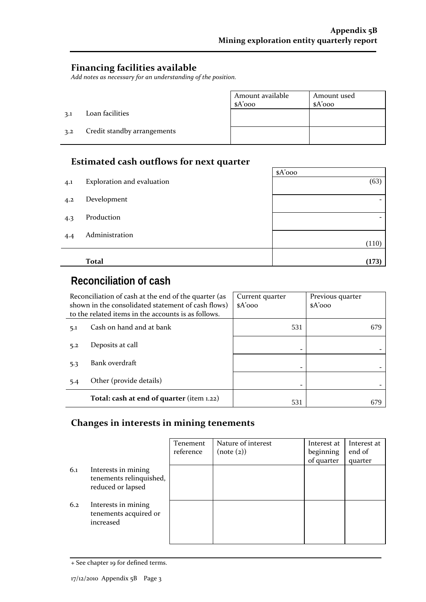## **Financing facilities available**

*Add notes as necessary for an understanding of the position.*

|     |                             | Amount available<br>$A'$ 000 | Amount used<br>$A'$ 000 |
|-----|-----------------------------|------------------------------|-------------------------|
| 3.1 | Loan facilities             |                              |                         |
| 3.2 | Credit standby arrangements |                              |                         |

## **Estimated cash outflows for next quarter**

|     | sochinate a caon o acho no for nent quarter |          |
|-----|---------------------------------------------|----------|
|     |                                             | $A'$ 000 |
| 4.1 | Exploration and evaluation                  | (63)     |
| 4.2 | Development                                 |          |
|     |                                             |          |
| 4.3 | Production                                  |          |
| 4.4 | Administration                              |          |
|     |                                             | (110)    |
|     |                                             |          |
|     | <b>Total</b>                                | (173)    |

# **Reconciliation of cash**

| Reconciliation of cash at the end of the quarter (as<br>shown in the consolidated statement of cash flows)<br>to the related items in the accounts is as follows. |                                           | Current quarter<br>$A'$ 000 | Previous quarter<br>$A'$ 000 |
|-------------------------------------------------------------------------------------------------------------------------------------------------------------------|-------------------------------------------|-----------------------------|------------------------------|
| 5.1                                                                                                                                                               | Cash on hand and at bank                  | 531                         | 679                          |
| 5.2                                                                                                                                                               | Deposits at call                          |                             |                              |
| 5.3                                                                                                                                                               | Bank overdraft                            |                             |                              |
| 5.4                                                                                                                                                               | Other (provide details)                   |                             |                              |
|                                                                                                                                                                   | Total: cash at end of quarter (item 1.22) | 531                         |                              |

## **Changes in interests in mining tenements**

|     |                                                                     | Tenement<br>reference | Nature of interest<br>(note (2)) | Interest at<br>beginning<br>of quarter | Interest at<br>end of<br>quarter |
|-----|---------------------------------------------------------------------|-----------------------|----------------------------------|----------------------------------------|----------------------------------|
| 6.1 | Interests in mining<br>tenements relinquished,<br>reduced or lapsed |                       |                                  |                                        |                                  |
| 6.2 | Interests in mining<br>tenements acquired or<br>increased           |                       |                                  |                                        |                                  |

<sup>+</sup> See chapter 19 for defined terms.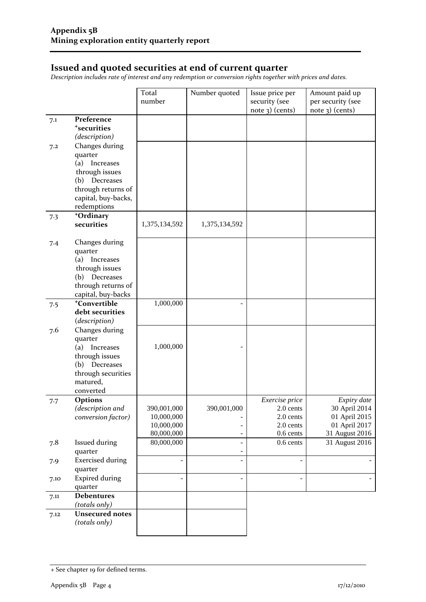## **Issued and quoted securities at end of current quarter**

*Description includes rate of interest and any redemption or conversion rights together with prices and dates.*

|      |                                     | Total         | Number quoted            | Issue price per | Amount paid up    |
|------|-------------------------------------|---------------|--------------------------|-----------------|-------------------|
|      |                                     | number        |                          | security (see   | per security (see |
|      |                                     |               |                          | note 3) (cents) | $note$ 3) (cents) |
| 7.1  | Preference                          |               |                          |                 |                   |
|      | <sup>+</sup> securities             |               |                          |                 |                   |
|      | (description)<br>Changes during     |               |                          |                 |                   |
| 7.2  | quarter                             |               |                          |                 |                   |
|      | (a) Increases                       |               |                          |                 |                   |
|      | through issues                      |               |                          |                 |                   |
|      | (b) Decreases                       |               |                          |                 |                   |
|      | through returns of                  |               |                          |                 |                   |
|      | capital, buy-backs,                 |               |                          |                 |                   |
|      | redemptions                         |               |                          |                 |                   |
| 7.3  | +Ordinary                           |               |                          |                 |                   |
|      | securities                          | 1,375,134,592 | 1,375,134,592            |                 |                   |
|      |                                     |               |                          |                 |                   |
| 7.4  | Changes during                      |               |                          |                 |                   |
|      | quarter<br>(a)                      |               |                          |                 |                   |
|      | Increases<br>through issues         |               |                          |                 |                   |
|      | Decreases<br>(b)                    |               |                          |                 |                   |
|      | through returns of                  |               |                          |                 |                   |
|      | capital, buy-backs                  |               |                          |                 |                   |
| 7.5  | <sup>+</sup> Convertible            | 1,000,000     |                          |                 |                   |
|      | debt securities                     |               |                          |                 |                   |
|      | (description)                       |               |                          |                 |                   |
| 7.6  | Changes during                      |               |                          |                 |                   |
|      | quarter                             |               |                          |                 |                   |
|      | (a) Increases                       | 1,000,000     |                          |                 |                   |
|      | through issues                      |               |                          |                 |                   |
|      | (b) Decreases<br>through securities |               |                          |                 |                   |
|      | matured,                            |               |                          |                 |                   |
|      | converted                           |               |                          |                 |                   |
| 7.7  | <b>Options</b>                      |               |                          | Exercise price  | Expiry date       |
|      | (description and                    | 390,001,000   | 390,001,000              | 2.0 cents       | 30 April 2014     |
|      | conversion factor)                  | 10,000,000    |                          | 2.0 cents       | 01 April 2015     |
|      |                                     | 10,000,000    |                          | 2.0 cents       | 01 April 2017     |
|      |                                     | 80,000,000    |                          | 0.6 cents       | 31 August 2016    |
| 7.8  | <b>Issued during</b>                | 80,000,000    | $\overline{\phantom{0}}$ | 0.6 cents       | 31 August 2016    |
|      | quarter                             |               | -                        |                 |                   |
| 7.9  | <b>Exercised during</b>             |               |                          |                 |                   |
|      | quarter<br><b>Expired during</b>    |               | ÷,                       |                 |                   |
| 7.10 | quarter                             |               |                          |                 |                   |
| 7.11 | <b>Debentures</b>                   |               |                          |                 |                   |
|      | (totals only)                       |               |                          |                 |                   |
| 7.12 | <b>Unsecured notes</b>              |               |                          |                 |                   |
|      | (totals only)                       |               |                          |                 |                   |
|      |                                     |               |                          |                 |                   |

<sup>+</sup> See chapter 19 for defined terms.